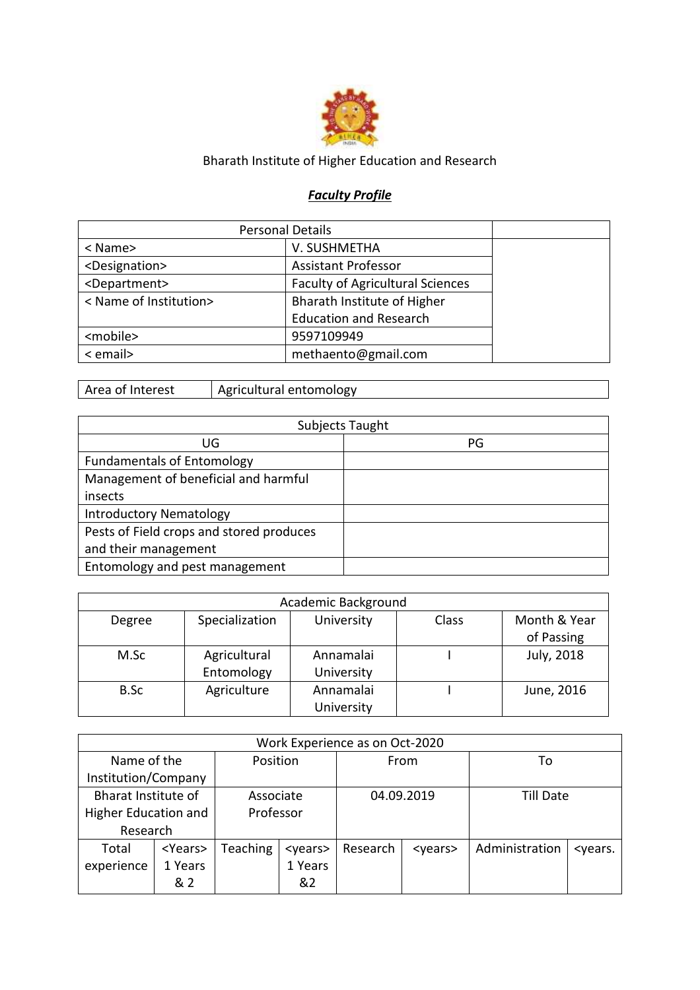

## Bharath Institute of Higher Education and Research

## *Faculty Profile*

| <b>Personal Details</b>     |                                         |  |
|-----------------------------|-----------------------------------------|--|
| < Name>                     | V. SUSHMETHA                            |  |
| <designation></designation> | <b>Assistant Professor</b>              |  |
| <department></department>   | <b>Faculty of Agricultural Sciences</b> |  |
| < Name of Institution>      | Bharath Institute of Higher             |  |
|                             | <b>Education and Research</b>           |  |
| <mobile></mobile>           | 9597109949                              |  |
| < email>                    | methaento@gmail.com                     |  |

Area of Interest | Agricultural entomology

|                                          | Subjects Taught |
|------------------------------------------|-----------------|
| UG                                       | PG              |
| <b>Fundamentals of Entomology</b>        |                 |
| Management of beneficial and harmful     |                 |
| insects                                  |                 |
| <b>Introductory Nematology</b>           |                 |
| Pests of Field crops and stored produces |                 |
| and their management                     |                 |
| Entomology and pest management           |                 |

|        |                | Academic Background |       |              |
|--------|----------------|---------------------|-------|--------------|
| Degree | Specialization | University          | Class | Month & Year |
|        |                |                     |       | of Passing   |
| M.Sc   | Agricultural   | Annamalai           |       | July, 2018   |
|        | Entomology     | University          |       |              |
| B.Sc   | Agriculture    | Annamalai           |       | June, 2016   |
|        |                | University          |       |              |

|                     |                                   |           |                 | Work Experience as on Oct-2020 |                 |                |                           |
|---------------------|-----------------------------------|-----------|-----------------|--------------------------------|-----------------|----------------|---------------------------|
| Name of the         |                                   | Position  |                 | From                           |                 | То             |                           |
| Institution/Company |                                   |           |                 |                                |                 |                |                           |
| Bharat Institute of |                                   | Associate |                 |                                | 04.09.2019      | Till Date      |                           |
|                     | Professor<br>Higher Education and |           |                 |                                |                 |                |                           |
| Research            |                                   |           |                 |                                |                 |                |                           |
| Total               | <years></years>                   | Teaching  | <years></years> | Research                       | <years></years> | Administration | <years.< td=""></years.<> |
| experience          | 1 Years                           |           | 1 Years         |                                |                 |                |                           |
|                     | & 2                               |           | &2              |                                |                 |                |                           |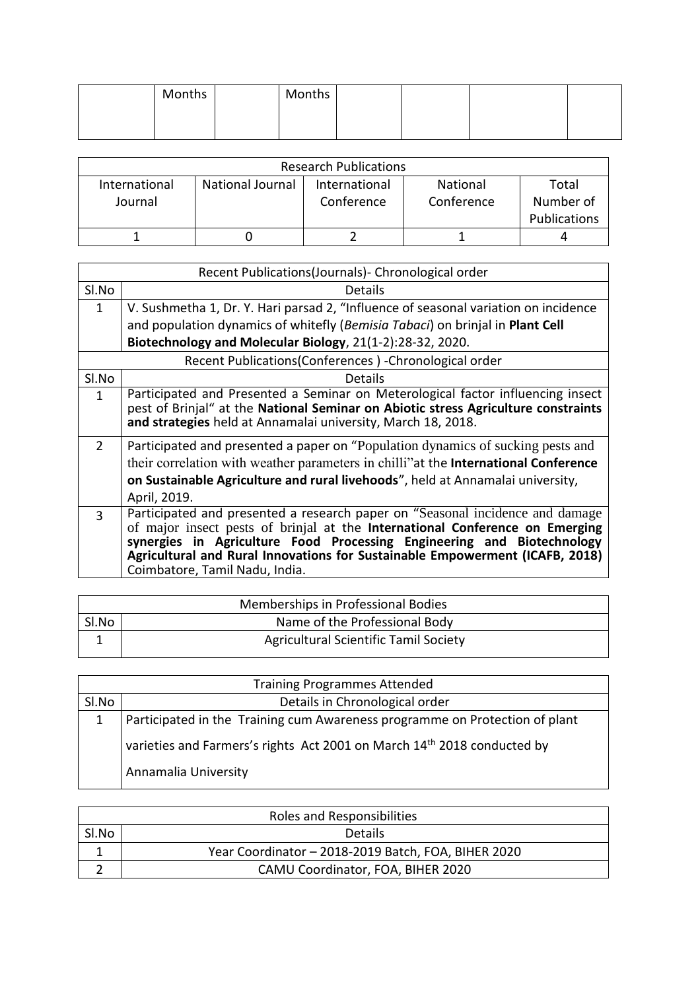| Months | Months |  |  |
|--------|--------|--|--|
|        |        |  |  |
|        |        |  |  |

|                          |                         | <b>Research Publications</b> |                        |                                           |
|--------------------------|-------------------------|------------------------------|------------------------|-------------------------------------------|
| International<br>Journal | <b>National Journal</b> | International<br>Conference  | National<br>Conference | Total<br>Number of<br><b>Publications</b> |
|                          |                         |                              |                        |                                           |

|                | Recent Publications(Journals) - Chronological order                                                                                                                                                                                                                                                                                                       |
|----------------|-----------------------------------------------------------------------------------------------------------------------------------------------------------------------------------------------------------------------------------------------------------------------------------------------------------------------------------------------------------|
| Sl.No          | Details                                                                                                                                                                                                                                                                                                                                                   |
| $\mathbf{1}$   | V. Sushmetha 1, Dr. Y. Hari parsad 2, "Influence of seasonal variation on incidence                                                                                                                                                                                                                                                                       |
|                | and population dynamics of whitefly (Bemisia Tabaci) on brinjal in Plant Cell                                                                                                                                                                                                                                                                             |
|                | Biotechnology and Molecular Biology, 21(1-2):28-32, 2020.                                                                                                                                                                                                                                                                                                 |
|                | Recent Publications(Conferences) - Chronological order                                                                                                                                                                                                                                                                                                    |
| Sl.No          | Details                                                                                                                                                                                                                                                                                                                                                   |
| $\mathbf{1}$   | Participated and Presented a Seminar on Meterological factor influencing insect<br>pest of Brinjal" at the National Seminar on Abiotic stress Agriculture constraints<br>and strategies held at Annamalai university, March 18, 2018.                                                                                                                     |
| $\overline{2}$ | Participated and presented a paper on "Population dynamics of sucking pests and<br>their correlation with weather parameters in chilli" at the <b>International Conference</b><br>on Sustainable Agriculture and rural livehoods", held at Annamalai university,<br>April, 2019.                                                                          |
| $\mathbf{R}$   | Participated and presented a research paper on "Seasonal incidence and damage<br>of major insect pests of brinjal at the International Conference on Emerging<br>synergies in Agriculture Food Processing Engineering and Biotechnology<br>Agricultural and Rural Innovations for Sustainable Empowerment (ICAFB, 2018)<br>Coimbatore, Tamil Nadu, India. |

|       | Memberships in Professional Bodies           |
|-------|----------------------------------------------|
| Sl.No | Name of the Professional Body                |
|       | <b>Agricultural Scientific Tamil Society</b> |

|       | <b>Training Programmes Attended</b>                                         |
|-------|-----------------------------------------------------------------------------|
| SI.No | Details in Chronological order                                              |
| 1     | Participated in the Training cum Awareness programme on Protection of plant |
|       | varieties and Farmers's rights Act 2001 on March 14th 2018 conducted by     |
|       | Annamalia University                                                        |

|       | Roles and Responsibilities                          |
|-------|-----------------------------------------------------|
| Sl.No | <b>Details</b>                                      |
|       | Year Coordinator - 2018-2019 Batch, FOA, BIHER 2020 |
|       | CAMU Coordinator, FOA, BIHER 2020                   |